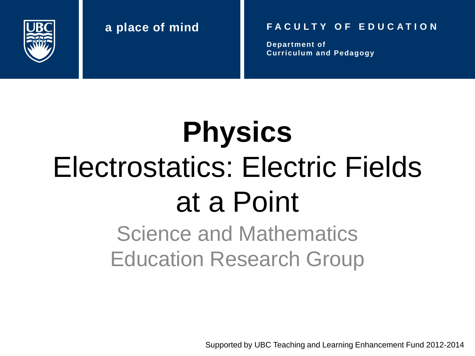

#### **a place of mind F A C U L T Y O F E D U C A T I O N**

**Department of Curriculum and Pedagogy**

# **Physics** Electrostatics: Electric Fields at a Point

Science and Mathematics Education Research Group

Supported by UBC Teaching and Learning Enhancement Fund 2012-2014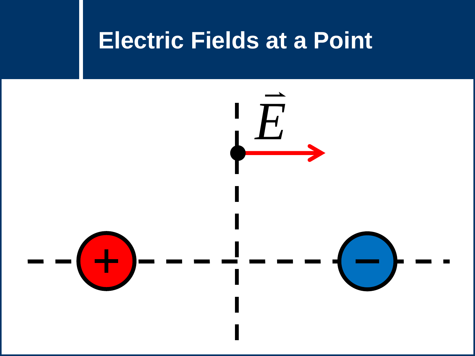#### **Electric Fields at a Point**

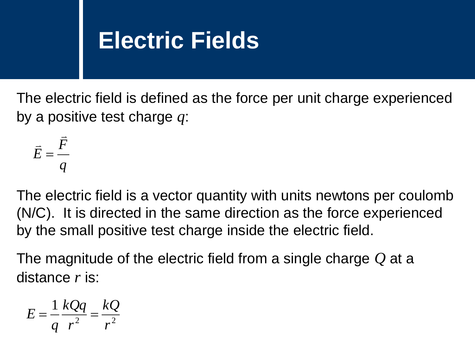### **Electric Fields**

The electric field is defined as the force per unit charge experienced by a positive test charge *q*:

$$
\vec{E} = \frac{\vec{F}}{q}
$$

The electric field is a vector quantity with units newtons per coulomb (N/C). It is directed in the same direction as the force experienced by the small positive test charge inside the electric field.

The magnitude of the electric field from a single charge *Q* at a distance *r* is:

$$
E = \frac{1}{q} \frac{kQq}{r^2} = \frac{kQ}{r^2}
$$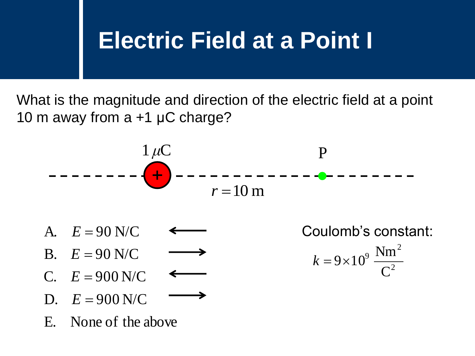### **Electric Field at a Point I**

What is the magnitude and direction of the electric field at a point 10 m away from a +1 μC charge?



A. 
$$
E = 90
$$
 N/C

- B.  $E = 90$  N/C
- C.  $E = 900$  N/C
- D.  $E = 900$  N/C
- E. None of the above

Coulomb's constant: 2 2 9 C  $k = 9 \times 10^9 \frac{\text{Nm}}{2^2}$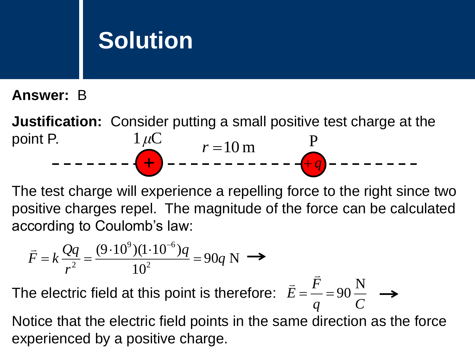**Answer:** B

**Justification:** Consider putting a small positive test charge at the point P.  $1 \mu C$  $r = 10 \text{ m}$  P  $q^2+q^2$ 

The test charge will experience a repelling force to the right since two positive charges repel. The magnitude of the force can be calculated according to Coulomb's law:

 $\overline{\phantom{a}}$ 

$$
\vec{F} = k \frac{Qq}{r^2} = \frac{(9 \cdot 10^9)(1 \cdot 10^{-6})q}{10^2} = 90q \text{ N} \implies
$$

The electric field at this point is therefore: *q C F E* N  $=$  $\frac{1}{2}$  $=$  90  $\overline{\phantom{a}}$ 

Notice that the electric field points in the same direction as the force experienced by a positive charge.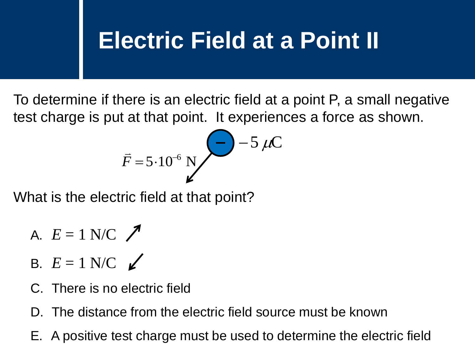## **Electric Field at a Point II**

To determine if there is an electric field at a point P, a small negative test charge is put at that point. It experiences a force as shown.

$$
\vec{F} = 5.10^{-6} \text{ N}
$$
  $\bigg( \frac{2}{5} \bigg) - 5 \mu C$ 

What is the electric field at that point?

A. 
$$
E = 1
$$
 N/C  $\nearrow$ 

- B.  $E = 1$  N/C  $\angle$
- C. There is no electric field
- D. The distance from the electric field source must be known
- E.  $\overline{F} = 5.10^{-6}$  M<br>
That is the electric field at that point?<br>
A.  $E = 1$  N/C  $\swarrow$ <br>
C. There is no electric field<br>
D. The distance from the electric field source must be known<br>
E. A positive test charge must be used t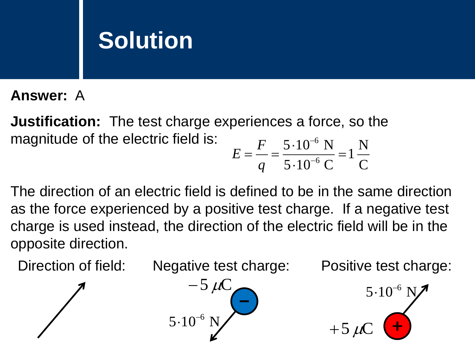**Answer:** A

**Justification:** The test charge experiences a force, so the magnitude of the electric field is: N 1  $5 \cdot 10^{-6}$  N 6  $=$ .  $=\frac{1}{a}=\frac{3}{5}=\frac{10}{10^{-1}}$  $\overline{a}$ *F E*

The direction of an electric field is defined to be in the same direction as the force experienced by a positive test charge. If a negative test charge is used instead, the direction of the electric field will be in the opposite direction.

Direction of field: Negative test charge: Positive test charge:

 $\cdot 10^{-6}$ 

 $+5 \mu C$ 

C

 $5\cdot 10^{-6}$  C

.

*q*

6



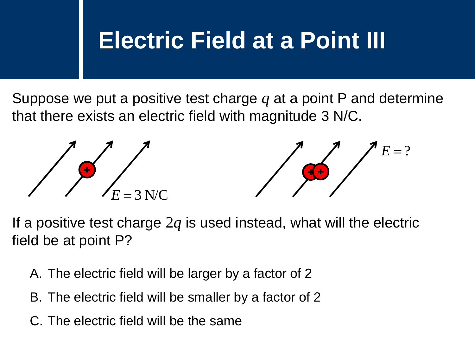### **Electric Field at a Point III**

Suppose we put a positive test charge *q* at a point P and determine that there exists an electric field with magnitude 3 N/C.



If a positive test charge 2*q* is used instead, what will the electric field be at point P?

- A. The electric field will be larger by a factor of 2
- B. The electric field will be smaller by a factor of 2
-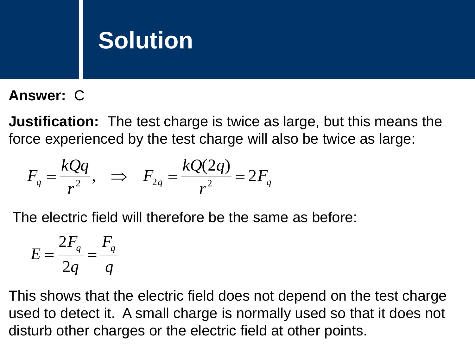**Answer:** C

**Justification:** The test charge is twice as large, but this means the force experienced by the test charge will also be twice as large:

$$
F_q = \frac{kQq}{r^2}, \quad \Rightarrow \quad F_{2q} = \frac{kQ(2q)}{r^2} = 2F_q
$$

The electric field will therefore be the same as before:

$$
E = \frac{2F_q}{2q} = \frac{F_q}{q}
$$

This shows that the electric field does not depend on the test charge used to detect it. A small charge is normally used so that it does not disturb other charges or the electric field at other points.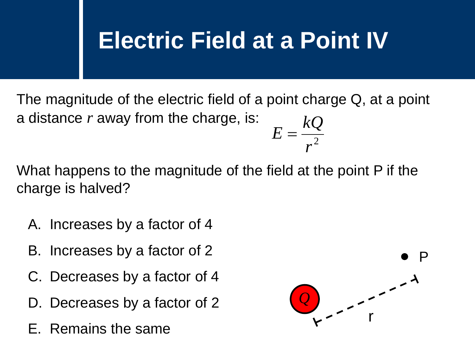### **Electric Field at a Point IV**

The magnitude of the electric field of a point charge Q, at a point a distance *r* away from the charge, is:  $r^2$  $E=\frac{kQ}{2}$ 

What happens to the magnitude of the field at the point P if the charge is halved?

- A. Increases by a factor of 4
- B. Increases by a factor of 2
- C. Decreases by a factor of 4
- D. Decreases by a factor of 2
- E. Remains the same

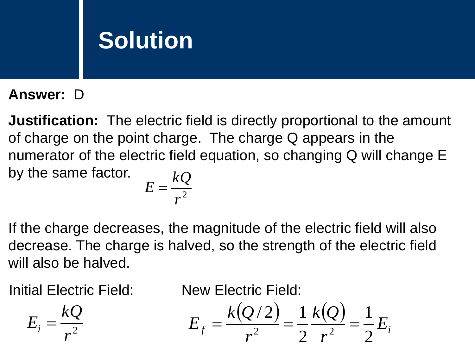#### **Answer:** D

**Justification:** The electric field is directly proportional to the amount of charge on the point charge. The charge Q appears in the numerator of the electric field equation, so changing Q will change E by the same factor.  $\iota$ 

$$
E=\frac{\kappa Q}{r^2}
$$

If the charge decreases, the magnitude of the electric field will also decrease. The charge is halved, so the strength of the electric field will also be halved.

Initial Electric Field: New Electric Field:

 $r^2$ 

 $E_i = \frac{kQ}{l^2}$ 

$$
E_f = \frac{k(Q/2)}{r^2} = \frac{1}{2} \frac{k(Q)}{r^2} = \frac{1}{2} E_i
$$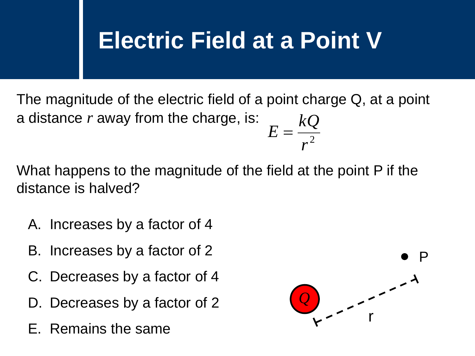### **Electric Field at a Point V**

The magnitude of the electric field of a point charge Q, at a point a distance *r* away from the charge, is:  $r^2$  $E=\frac{kQ}{2}$ 

What happens to the magnitude of the field at the point P if the distance is halved?

- A. Increases by a factor of 4
- B. Increases by a factor of 2
- C. Decreases by a factor of 4
- D. Decreases by a factor of 2
- E. Remains the same

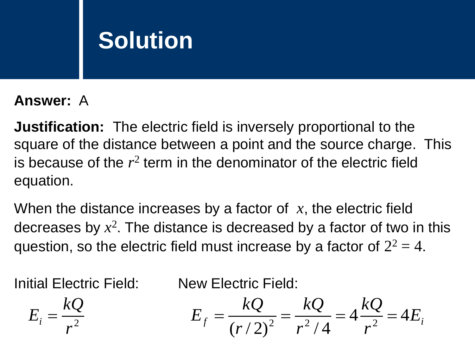#### **Answer:** A

**Justification:** The electric field is inversely proportional to the square of the distance between a point and the source charge. This is because of the  $r^2$  term in the denominator of the electric field equation.

When the distance increases by a factor of *x*, the electric field decreases by *x* 2 . The distance is decreased by a factor of two in this question, so the electric field must increase by a factor of  $2^2 = 4$ .

 $r^2$ 

Initial Electric Field: New Electric Field:

$$
E_i = \frac{kQ}{r^2} \qquad E_f = \frac{kQ}{(r/2)^2} = \frac{kQ}{r^2/4} = 4\frac{kQ}{r^2} = 4E_i
$$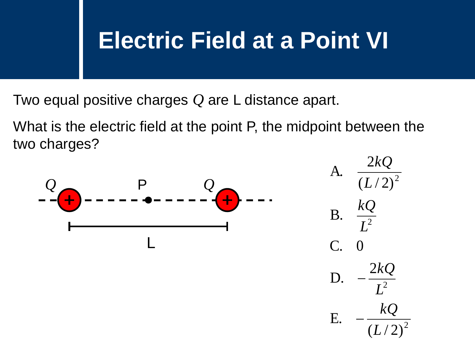### **Electric Field at a Point VI**

Two equal positive charges *Q* are L distance apart.

What is the electric field at the point P, the midpoint between the two charges?

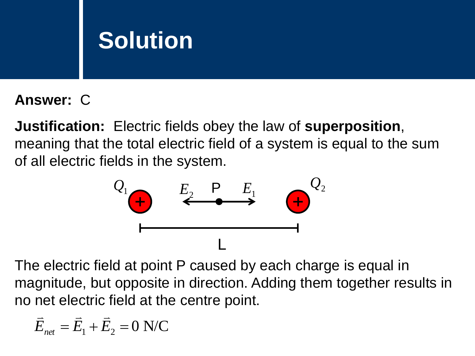#### **Answer:** C

**Justification:** Electric fields obey the law of **superposition**, meaning that the total electric field of a system is equal to the sum of all electric fields in the system.



The electric field at point P caused by each charge is equal in magnitude, but opposite in direction. Adding them together results in no net electric field at the centre point.

$$
\vec{E}_{net} = \vec{E}_1 + \vec{E}_2 = 0 \text{ N/C}
$$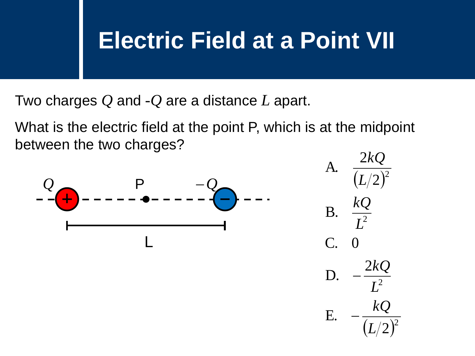#### **Electric Field at a Point VII**

Two charges *Q* and -*Q* are a distance *L* apart.

What is the electric field at the point P, which is at the midpoint between the two charges?

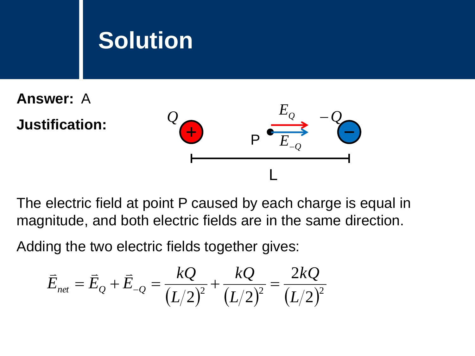**Answer:** A **Justification:**



The electric field at point P caused by each charge is equal in magnitude, and both electric fields are in the same direction.

Adding the two electric fields together gives:  
\n
$$
\vec{E}_{net} = \vec{E}_Q + \vec{E}_{-Q} = \frac{kQ}{(L/2)^2} + \frac{kQ}{(L/2)^2} = \frac{2kQ}{(L/2)^2}
$$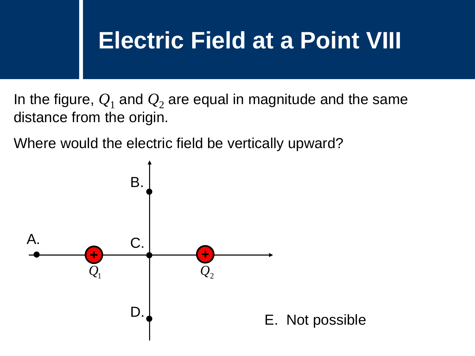### **Electric Field at a Point VIII**

In the figure,  $Q_1$  and  $Q_2$  are equal in magnitude and the same distance from the origin.

Where would the electric field be vertically upward?

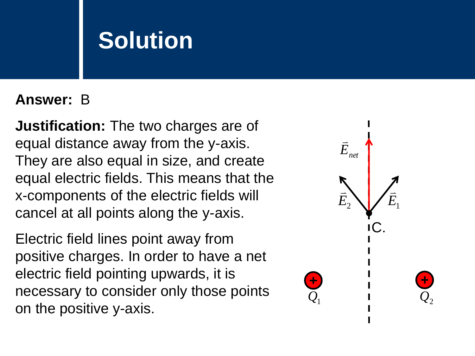#### **Answer:** B

**Justification:** The two charges are of equal distance away from the y-axis. They are also equal in size, and create equal electric fields. This means that the x-components of the electric fields will cancel at all points along the y-axis.

Electric field lines point away from positive charges. In order to have a net electric field pointing upwards, it is necessary to consider only those points on the positive y-axis.

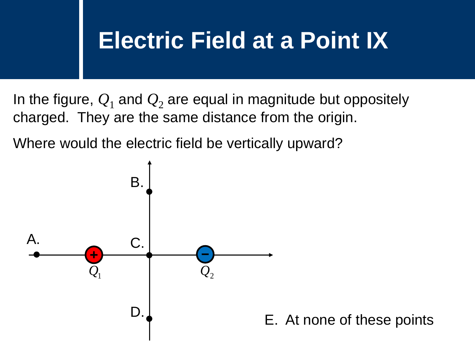#### **Electric Field at a Point IX**

In the figure,  $Q_1$  and  $Q_2$  are equal in magnitude but oppositely charged. They are the same distance from the origin.

Where would the electric field be vertically upward?

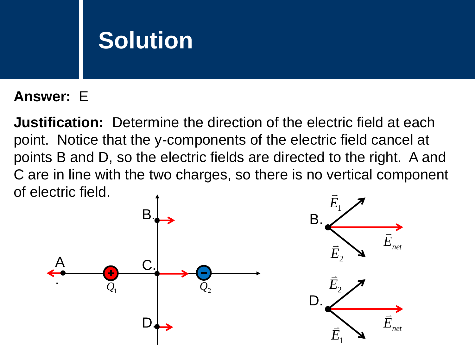#### **Answer:** E

**Justification:** Determine the direction of the electric field at each point. Notice that the y-components of the electric field cancel at points B and D, so the electric fields are directed to the right. A and C are in line with the two charges, so there is no vertical component of electric field.  $\overline{\phantom{a}}$ 

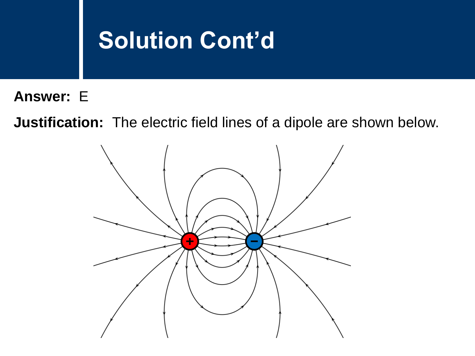#### **Solution Cont'd**

**Answer:** E

**Justification:** The electric field lines of a dipole are shown below.

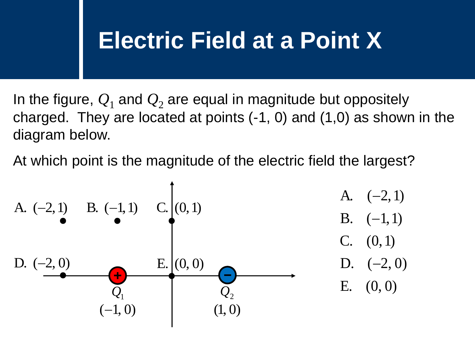### **Electric Field at a Point X**

In the figure,  $Q_1$  and  $Q_2$  are equal in magnitude but oppositely charged. They are located at points (-1, 0) and (1,0) as shown in the diagram below.

At which point is the magnitude of the electric field the largest?

E. (0, 0) D. ( 2, 0) C. (0,1) B. ( 1,1) A. ( 2,1) *Q*1 *Q*2 B. (1,1) C. (0,1) D. (2, 0) E. (0, 0) A. (2,1) (1, 0) (1, 0)